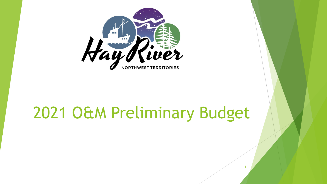

## 2021 O&M Preliminary Budget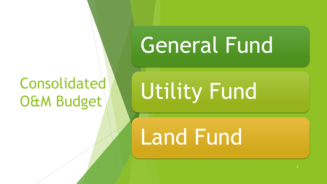### Consolidated O&M Budget

# General Fund

# Utility Fund

# Land Fund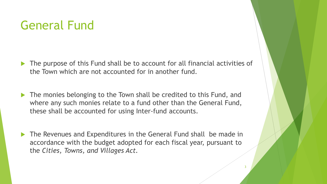#### General Fund

- The purpose of this Fund shall be to account for all financial activities of the Town which are not accounted for in another fund.
- The monies belonging to the Town shall be credited to this Fund, and where any such monies relate to a fund other than the General Fund, these shall be accounted for using Inter-fund accounts.
- ▶ The Revenues and Expenditures in the General Fund shall be made in accordance with the budget adopted for each fiscal year, pursuant to the *Cities, Towns, and Villages Act.*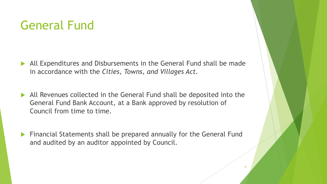#### General Fund

- All Expenditures and Disbursements in the General Fund shall be made in accordance with the *Cities, Towns, and Villages Act.*
- All Revenues collected in the General Fund shall be deposited into the General Fund Bank Account, at a Bank approved by resolution of Council from time to time.
- **Financial Statements shall be prepared annually for the General Fund** and audited by an auditor appointed by Council.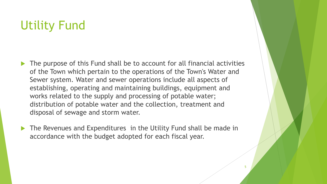#### Utility Fund

- The purpose of this Fund shall be to account for all financial activities of the Town which pertain to the operations of the Town's Water and Sewer system. Water and sewer operations include all aspects of establishing, operating and maintaining buildings, equipment and works related to the supply and processing of potable water; distribution of potable water and the collection, treatment and disposal of sewage and storm water.
- ▶ The Revenues and Expenditures in the Utility Fund shall be made in accordance with the budget adopted for each fiscal year.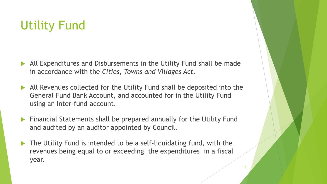#### Utility Fund

- All Expenditures and Disbursements in the Utility Fund shall be made in accordance with the *Cities, Towns and Villages Act.*
- All Revenues collected for the Utility Fund shall be deposited into the General Fund Bank Account, and accounted for in the Utility Fund using an Inter-fund account.
- **Financial Statements shall be prepared annually for the Utility Fund** and audited by an auditor appointed by Council.
- ▶ The Utility Fund is intended to be a self-liquidating fund, with the revenues being equal to or exceeding the expenditures in a fiscal year.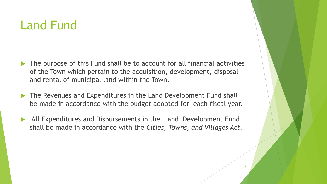#### Land Fund

- The purpose of this Fund shall be to account for all financial activities of the Town which pertain to the acquisition, development, disposal and rental of municipal land within the Town.
- ▶ The Revenues and Expenditures in the Land Development Fund shall be made in accordance with the budget adopted for each fiscal year.
- All Expenditures and Disbursements in the Land Development Fund shall be made in accordance with the *Cities, Towns, and Villages Act.*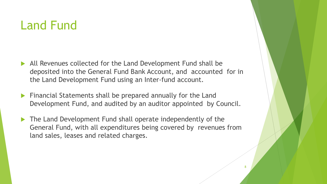#### Land Fund

- All Revenues collected for the Land Development Fund shall be deposited into the General Fund Bank Account, and accounted for in the Land Development Fund using an Inter-fund account.
- Financial Statements shall be prepared annually for the Land Development Fund, and audited by an auditor appointed by Council.
- ▶ The Land Development Fund shall operate independently of the General Fund, with all expenditures being covered by revenues from land sales, leases and related charges.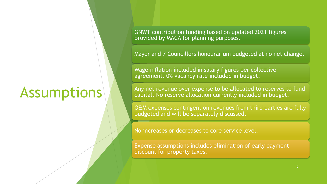### **Assumptions**

GNWT contribution funding based on updated 2021 figures provided by MACA for planning purposes.

Mayor and 7 Councillors honourarium budgeted at no net change.

Wage inflation included in salary figures per collective agreement. 0% vacancy rate included in budget.

Any net revenue over expense to be allocated to reserves to fund capital. No reserve allocation currently included in budget.

O&M expenses contingent on revenues from third parties are fully budgeted and will be separately discussed.

No increases or decreases to core service level.

Expense assumptions includes elimination of early payment discount for property taxes.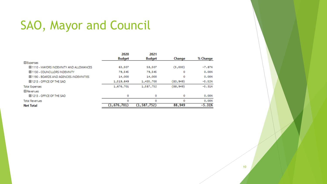#### SAO, Mayor and Council

|                                           | 2020          | 2021          |           |          |
|-------------------------------------------|---------------|---------------|-----------|----------|
|                                           | <b>Budget</b> | <b>Budget</b> | Change    | % Change |
| $\Box$ Expenses                           |               |               |           |          |
| EL 1110 - MAYORS INDEMNITY AND ALLOWANCES | 63,507        | 58,507        | (5,000)   | $-7.87%$ |
| E 1130 - COUNCILLORS INDEMNITY            | 79,545        | 79,545        | ٥         | 0.00%    |
| E 1190 - BOARDS AND AGENCIES-INDEMNITIES  | 14,000        | 14,000        | 0         | 0.00%    |
| EI 1213 - OFFICE OF THE SAO               | 1,519,649     | 1,435,700     | (83, 949) | $-5.52%$ |
| <b>Total Expenses</b>                     | 1,676,701     | 1,587,752     | (88, 949) | $-5.31%$ |
| 日 Revenues                                |               |               |           |          |
| EI 1213 - OFFICE OF THE SAO               | ٥             | 0             | ٥         | 0.00%    |
| <b>Total Revenues</b>                     | ٥             | o             | ٥         | 0.00%    |
| <b>Net Total</b>                          | (1, 676, 701) | (1, 587, 752) | 88,949    | $-5.31%$ |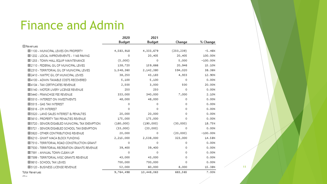#### Finance and Admin

|                                                  | 2020      | 2021       |            |            |
|--------------------------------------------------|-----------|------------|------------|------------|
|                                                  | Budget    | Budget     | Change     | % Change   |
| □ Revenues                                       |           |            |            |            |
| E 1100 - MUNICIPAL LEVIES ON PROPERTY            | 4,583,918 | 4,333,679  | (250, 239) | $-5.46%$   |
| E 1202 - LOCAL IMPROVEMENTS - 1148 PAVING        | $\Omega$  | 20,405     | 20,405     | 100.00%    |
| 田 1253 - TOWN HALL EQUIP MAINTENANCE             | (5,000)   | $\Omega$   | 5,000      | $-100.00%$ |
| E 2110 - FEDERAL GIL OF MUNICIPAL LEVIES         | 138,720   | 159,666    | 20,946     | 15.10%     |
| E 2310 - TERRITORIAL GIL OF MUNICIPAL LEVIES     | 1,548,360 | 2,142,380  | 594,020    | 38.36%     |
| E 2410 - NWTPC GIL OF MUNICIPAL LEVIES           | 38,250    | 43,183     | 4,933      | 12.90%     |
| E 4100 - ADMIN TAXABLE COSTS RECOVERED           | 5,100     | 5,100      | 0          | 0.00%      |
| 田 4104 - TAX CERTIFICATES REVENUE                | 2,500     | 3,000      | 500        | 20,00%     |
| 田 5140 - MOTOR LIVERY LICENSE REVENUE            | 250       | 250        | 0          | 0.00%      |
| 田 5440 - FRANCHISE FEE REVENUE                   | 333,000   | 340,000    | 7,000      | 2.10%      |
| 田 5510 - INTEREST ON INVESTMENTS                 | 48,000    | 48,000     | 0          | 0.00%      |
| EL 5515 - GAS TAX INTEREST                       | 0         | $\Omega$   | 0          | 0.00%      |
| 田 5516 - CPI INTEREST                            | $\Omega$  | $\Omega$   | $\Omega$   | 0.00%      |
| E 5520 - LAND SALES INTEREST & PENALTIES         | 20,000    | 20,000     | 0          | 0.00%      |
| EL 5610 - PROPERTY TAX PENALTIES REVENUE         | 175,000   | 175,000    | 0          | 0.00%      |
| E 5720 - SENIOR/DISABLED MUNICIPAL TAX EXEMPTION | (160,000) | (190,000)  | (30,000)   | 18.75%     |
| EL 5721 - SENIOR/DISABLED SCHOOL TAX EXEMPTION   | (33,000)  | (33,000)   | 0          | 0.00%      |
| E 5920 - OTHER CONTRIBUTIONS REVENUE             | 20,000    | 0          | (20,000)   | $-100.00%$ |
| 田 6210 - GNWT MACA BLOCK FUNDING                 | 2,215,000 | 2,538,000  | 323,000    | 14.58%     |
| E 7510 - TERRITORIAL ROAD CONSTRUCTION GRANT     | 0         | 0          | 0          | 0.00%      |
| E 7530 - TERRITORIAL RECREATION GRANTS REVENUE   | 39,400    | 39,400     | $\Omega$   | 0.00%      |
| 田 7591 - ANNUAL TOWN CLEAN UP                    | $\Omega$  | $\Omega$   | 0          | 0.00%      |
| E 7599 - TERRITORIAL MISC GRANTS REVENUE         | 43,000    | 43,000     | $\Omega$   | 0.00%      |
| 田 9810 - SCHOOL TAX LEVIES                       | 700,000   | 700,000    | 0          | 0.00%      |
| 田 5120 - BUSINESS LICENSE REVENUE                | 52,000    | 60,000     | 8,000      | 15.38%     |
| <b>Total Revenues</b>                            | 9,764,498 | 10,448,063 | 683,565    | 7.00%      |

11

 $\Box$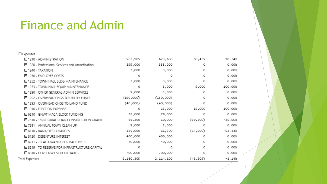#### Finance and Admin

| □ Expenses                                      |           |           |           |           |
|-------------------------------------------------|-----------|-----------|-----------|-----------|
| 田 1210 - ADMINISTRATION                         | 563,105   | 623,600   | 60,495    | 10.74%    |
| 田 1220 - Professional Services and Amortization | 355,000   | 355,000   | 0         | 0.00%     |
| <b>H</b> 1240 - TAXATION                        | 3,000     | 3,000     | 0         | 0.00%     |
| 田 1250 - EMPLOYEE COSTS                         | 0         | 0         | 0         | 0.00%     |
| 田 1252 - TOWN HALL BLDG MAINTENANCE             | 3,000     | 3,000     | 0         | 0.00%     |
| 田 1253 - TOWN HALL EQUIP MAINTENANCE            | 0         | 5,000     | 5,000     | 100.00%   |
| 田 1290 - OTHER GENERAL ADMIN SERVICES           | 5,000     | 5,000     | $\Omega$  | 0.00%     |
| 田 1292 - OVERHEAD CHGS TO UTILITY FUND          | (150,000) | (150,000) | $\Omega$  | 0.00%     |
| 田 1293 - OVERHEAD CHGS TO LAND FUND             | (40,000)  | (40,000)  | 0         | 0.00%     |
| 田 1910 - ELECTION EXPENSE                       | 0         | 15,000    | 15,000    | 100,00%   |
| 田 6210 - GNWT MACA BLOCK FUNDING                | 78,000    | 78,000    | 0         | 0.00%     |
| E 7510 - TERRITORIAL ROAD CONSTRUCTION GRANT    | 69,200    | 10,000    | (59, 200) | $-85.55%$ |
| 田 7591 - ANNUAL TOWN CLEAN UP                   | 5,000     | 5,000     | 0         | 0.00%     |
| 田 8110 - BANK/DEBT CHARGES                      | 129,000   | 61,500    | (67, 500) | $-52.33%$ |
| 田 8120 - DEBENTURE INTEREST                     | 400,000   | 400,000   | $\Omega$  | 0.00%     |
| E 8211 - TO ALLOWANCE FOR BAD DEBTS             | 40,000    | 40,000    | $\Omega$  | 0.00%     |
| E 8219 - TO RESERVE FOR INFRASTRUCTURE CAPITAL  | 0         | 0         | $\Omega$  | 0.00%     |
| 田 8810 - GOV'T NWT SCHOOL TAXES                 | 700,000   | 700,000   | 0         | 0.00%     |
| Total Expenses                                  | 2,160,305 | 2,114,100 | (46, 205) | $-2.14%$  |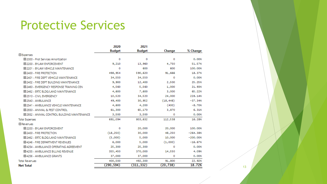#### Protective Services

|                                              | 2020          | 2021          |           |            |
|----------------------------------------------|---------------|---------------|-----------|------------|
|                                              | <b>Budget</b> | <b>Budget</b> | Change    | % Change   |
| Expenses                                     |               |               |           |            |
| 田 2000 - Prot Services Amortization          | o             | o             | ٥         | 0.00%      |
| 田 2200 - BYLAW ENFORCEMENT                   | 9,210         | 13,960        | 4,750     | 51.57%     |
| E 2201 - BYLAW VEHICLE MAINTENANCE           | o             | 600           | 600       | 100,00%    |
| EL 2400 - FIRE PROTECTION                    | 498,954       | 590,620       | 91,666    | 18.37%     |
| E 2401 - FIRE DEPT VEHICLE MAINTENANCE       | 34,550        | 34,550        | 0         | 0.00%      |
| E 2402 - FIRE DEPT BUILDING MAINTENANCE      | 9,900         | 12,400        | 2,500     | 25.25%     |
| E 2460 - EMERGENCY RESPONSE TRAINING CEN     | 4,560         | 5,560         | 1,000     | 21,93%     |
| E 2462 - ERTC BLDG/LAND MAINTENANCE          | 4,600         | 7,600         | 3,000     | 65.22%     |
| EL2510 - CIVIL EMERGENCY                     | 10,520        | 34,520        | 24,000    | 228.14%    |
| 田 2540 - AMBULANCE                           | 49,400        | 30,952        | (18, 448) | $-37.34%$  |
| E 2541 - AMBULANCE VEHICLE MAINTENANCE       | 4,600         | 4,200         | (400)     | $-8,70%$   |
| EI 2930 - ANIMAL & PEST CONTROL              | 61,300        | 65,170        | 3,870     | 6.31%      |
| E 2932 - ANIMAL CONTROL BUILDING MAINTENANCE | 3,500         | 3,500         | 0         | 0.00%      |
| <b>Total Expenses</b>                        | 691,094       | 803,632       | 112,538   | 16.28%     |
| $\Box$ Revenues                              |               |               |           |            |
| EL 2200 - BYLAW ENFORCEMENT                  | o             | 20,000        | 20,000    | 100,00%    |
| EL 2400 - FIRE PROTECTION                    | (18, 250)     | 30,000        | 48,250    | $-264.38%$ |
| E 2462 - ERTC BLDG/LAND MAINTENANCE          | (5,000)       | 5,000         | 10,000    | $-200.00%$ |
| E 4246 - FIRE DEPARTMENT REVENUES            | 6,000         | 5,000         | (1,000)   | $-16.67%$  |
| E 4254 - AMBULANCE OPERATING AGREEMENT       | 25,300        | 25,300        | 0         | 0.00%      |
| E 4255 - AMBULANCE BILLING REVENUE           | 355,450       | 370,000       | 14,550    | 4.09%      |
| 田 4256 - AMBULANCE GRANTS                    | 37,000        | 37,000        | ٥         | 0.00%      |
| <b>Total Revenues</b>                        | 400,500       | 492,300       | 91,800    | 22.92%     |
| <b>Net Total</b>                             | (290, 594)    | (311, 332)    | (20, 738) | 18.72%     |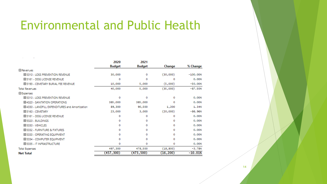#### Environmental and Public Health

| <b>El Revenues</b><br>EL 5310 - LOSS PREVENTION REVENUE<br>田 5161 - DOG LICENSE REVENUE<br>田 5193 - CEMETARY BURIAL FEE REVENUE<br><b>Total Revenues</b><br>日 Expenses<br>EL 5310 - LOSS PREVENTION REVENUE<br>EL 4320 - SANITATION OPERATIONS<br>田 4330 - LANDFILL EXPENDITURES and Amortization | <b>Budget</b><br>30,000 | <b>Budget</b> | Change    | % Change   |
|---------------------------------------------------------------------------------------------------------------------------------------------------------------------------------------------------------------------------------------------------------------------------------------------------|-------------------------|---------------|-----------|------------|
|                                                                                                                                                                                                                                                                                                   |                         |               |           |            |
|                                                                                                                                                                                                                                                                                                   |                         | 0             | (30,000)  | $-100,00%$ |
|                                                                                                                                                                                                                                                                                                   | o                       | ٥             | o         | 0.00%      |
|                                                                                                                                                                                                                                                                                                   | 10,000                  | 5,000         | (5,000)   | $-50.00%$  |
|                                                                                                                                                                                                                                                                                                   | 40,000                  | 5,000         | (35,000)  | $-87.50%$  |
|                                                                                                                                                                                                                                                                                                   |                         |               |           |            |
|                                                                                                                                                                                                                                                                                                   | ٥                       | o             | 0         | 0.00%      |
|                                                                                                                                                                                                                                                                                                   | 385,000                 | 385,000       | ٥         | 0.00%      |
|                                                                                                                                                                                                                                                                                                   | 89,300                  | 90,500        | 1,200     | 1.34%      |
| 田 5160 - CEMETARY                                                                                                                                                                                                                                                                                 | 23,000                  | 3,000         | (20,000)  | $-86,96%$  |
| 田 5161 - DOG LICENSE REVENUE                                                                                                                                                                                                                                                                      | ٥                       | ٥             | ٥         | 0.00%      |
| 田 5320 - BUILDINGS                                                                                                                                                                                                                                                                                | ٥                       | ٥             | ٥         | 0.00%      |
| 田 5330 - VEHICLES                                                                                                                                                                                                                                                                                 | ٥                       | ٥             | ٥         | 0.00%      |
| EI 5332 - FURNITURE & FIXTURES                                                                                                                                                                                                                                                                    | ٥                       | 0             | ٥         | 0.00%      |
| EI 5333 - OPERATING EQUIPMENT                                                                                                                                                                                                                                                                     | o                       | 0             | ٥         | 0.00%      |
| E 5334 - COMPUTER EQUIPMENT                                                                                                                                                                                                                                                                       | ٥                       | ٥             | ٥         | 0.00%      |
| E 5335 - IT INFRASTRUCTURE                                                                                                                                                                                                                                                                        | ٥                       | ٥             | ٥         | 0.00%      |
| <b>Total Expenses</b>                                                                                                                                                                                                                                                                             | 497,300                 | 478,500       | (18, 800) | $-3.78%$   |
| (457, 300)<br><b>Net Total</b>                                                                                                                                                                                                                                                                    |                         |               |           |            |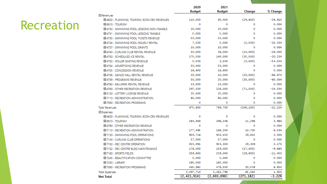#### Recreation

|                                                | 2020<br><b>Budget</b> | 2021<br><b>Budget</b> | Change     | % Change  |
|------------------------------------------------|-----------------------|-----------------------|------------|-----------|
| $\Box$ Revenues                                |                       |                       |            |           |
| EI 4600 - PLANNING, TOURISM, ECON DEV REVENUES | 110,000               | 80,400                | (29, 600)  | $-26.91%$ |
| 田 6910 - TOURISM                               | o                     | o                     | о          | 0.00%     |
| EI 4730 - SWIMMING POOL LESSONS NON-TAXABLE    | 20,000                | 20,000                | o          | 0.00%     |
| EL 4731 - SWIMMING POOL LESSONS TAXABLE        | 5,000                 | 5,000                 | ٥          | 0.00%     |
| E 4733 - SWIMMING POOL TICKETS REVENUE         | 50,000                | 50,000                | ٥          | 0.00%     |
| EL 4734 - SWIMMING POOL HOURLY RENTAL          | 7,500                 | 5,000                 | (2,500)    | $-33.33%$ |
| EL4737 - SWIMMING POOL GRANTS                  | 10,000                | 10,000                | o          | 0.00%     |
| EI 4740 - CURLING CLUB RENTAL REVENUE          | 50,000                | 36,000                | (14,000)   | $-28,00%$ |
| 田 4750 - SCHEDULED ICE RENTAL                  | 175,500               | 140,000               | (35, 500)  | $-20.23%$ |
| EL 4753 - ROLLER SKATING REVENUE               | 5,500                 | 2,500                 | (3,000)    | $-54.55%$ |
| 田 4754 - ADVERTISING REVENUE                   | 50,000                | 50,000                | o          | 0.00%     |
| 田 4755 - CONCESSION REVENUE                    | 16,800                | 16,800                | o          | 0.00%     |
| E 4756 - DANCE HALL RENTAL REVENUE             | 30,000                | 10,000                | (20,000)   | $-66,67%$ |
| 田 4759 - PROGRAMS REVENUE                      | 50,000                | 20,000                | (30,000)   | $-60,00%$ |
| EL 4780 - BALLPARK RENTAL REVENUE              | 13,000                | 13,000                | o          | 0.00%     |
| EI 4790 - OTHER RECREATION REVENUE             | 297,500               | 226,000               | (71, 500)  | $-24.03%$ |
| EL 5130 - LOTTERY LICENSE REVENUE              | 25,000                | 25,000                | o          | 0.00%     |
| EL7110 - RECREATION ADMINISTRATION             | 60,000                | 60,000                | o          | 0.00%     |
| E 7590 - RECREATION PROGRAMS                   | $\Omega$              | o                     | ٥          | 0.00%     |
| <b>Total Revenues</b>                          | 975,800               | 769,700               | (206, 100) | $-21.12%$ |
| $\Box$ Expenses                                |                       |                       |            |           |
| E 4600 - PLANNING, TOURISM, ECON DEV REVENUES  | o                     | ٥                     | о          | 0.00%     |
| 田 6910 - TOURISM                               | 284,948               | 296,246               | 11,298     | 3.96%     |
| EL 4790 - OTHER RECREATION REVENUE             | $\Omega$              | o                     | o          | 0.00%     |
| EL 7110 - RECREATION ADMINISTRATION            | 177,495               | 188,200               | 10,705     | 6.03%     |
| EL7130 - SWIMMING POOL OPERATIONS              | 903,718               | 933,550               | 29,832     | 3,30%     |
| 田 7140 - CURLING CLUB OPERATIONS               | 57,000                | 57,000                | o          | 0.00%     |
| 田 7150 - REC CENTRE OPERATION                  | 923,991               | 953,300               | 29,309     | 3,17%     |
| E 7152 - REC CENTRE BLDG MAINTENANCE           | 176,000               | 159,000               | (17,000)   | $-9.66%$  |
| 田 7180 - SPORTS FIELDS                         | 258,600               | 229,000               | (29, 600)  | $-11.45%$ |
| EL 7245 - BEAUTIFICATION COMMITTEE             | 5,000                 | 5,000                 | o          | 0.00%     |
| 田 7250 - LIBRARY                               | 165,000               | 165,000               | o          | 0.00%     |
| EI 7590 - RECREATION PROGRAMS                  | 445,962               | 476,500               | 30,538     | 6.85%     |
| <b>Total Expenses</b>                          | 3,397,714             | 3,462,796             | 65,082     | 1.92%     |
| <b>Net Total</b>                               | (2, 421, 914)         | (2, 693, 096)         | (271, 182) | $-3.22%$  |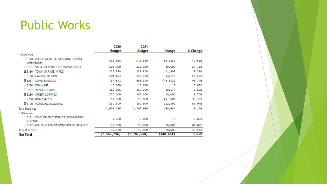#### Public Works

|                                                             | 2020          | 2021          |            |           |
|-------------------------------------------------------------|---------------|---------------|------------|-----------|
|                                                             | Budget        | <b>Budget</b> | Change     | % Change  |
| E Expenses                                                  |               |               |            |           |
| E 3110 - PUBLIC WORKS ADMINISTRATION and<br>Amortization    | 581,968       | 578,580       | (3, 388)   | $-0.58%$  |
| E 3131 - VEHICLE OPERATIONS MAINTENANCE                     | 108,000       | 138,000       | 30,000     | 27.78%    |
| 田 3150 - TOWN GARAGE, YARDS                                 | 227,598       | 239,500       | 11,902     | 5.23%     |
| 田 3190 - CARPENTER SHOP                                     | 104,663       | 118,400       | 13,737     | 13, 12%   |
| 田 3231 - SUMMER ROADS                                       | 734,841       | 685,300       | (49, 541)  | $-6.74%$  |
| 田 3234 - DRAINAGE                                           | 10,000        | 10,000        | ٥          | 0.00%     |
| E 3237 - WINTER ROADS                                       | 319,626       | 350,300       | 30,674     | 9.60%     |
| EL3250 - STREET LIGHTING                                    | 270,000       | 280,000       | 10,000     | 3.70%     |
| 田 3260 - ROAD SAFETY                                        | 15,000        | 10,000        | (5,000)    | $-33,33%$ |
| 田 6100 - PLANNING & ZONING                                  | 230,600       | 352,900       | 122,300    | 53.04%    |
| <b>Total Expenses</b>                                       | 2,602,296     | 2,762,980     | 160,684    | 6.17%     |
| $\Box$ Revenues                                             |               |               |            |           |
| EL 5171 - DEVELOPMENT PERMITS NON-TAXABLE<br><b>REVENUE</b> | 5,000         | 5,000         | ٥          | 0.00%     |
| EL 5172 - BUILDING PERMIT NON-TAXABLE REVENUE               | 30,000        | 50,000        | 20,000     | 66.67%    |
| <b>Total Revenues</b>                                       | 35,000        | 55,000        | 20,000     | 57.14%    |
| <b>Net Total</b>                                            | (2, 567, 296) | (2,707,980)   | (140, 684) | 6.85%     |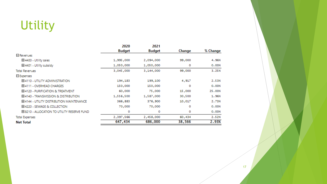### Utility

|                                                  | 2020          | 2021          |        |          |
|--------------------------------------------------|---------------|---------------|--------|----------|
|                                                  | <b>Budget</b> | <b>Budget</b> | Change | % Change |
| $\Box$ Revenues                                  |               |               |        |          |
| 田 4400 - Utility sales                           | 1,995,000     | 2,094,000     | 99,000 | 4.96%    |
| 田 4401 - Utility subsidy                         | 1,050,000     | 1,050,000     | 0      | 0.00%    |
| Total Revenues                                   | 3,045,000     | 3,144,000     | 99,000 | 3.25%    |
| $\boxminus$ Expenses                             |               |               |        |          |
| <b>EL4110 - UTILITY ADMINISTRATION</b>           | 194,183       | 199,100       | 4,917  | 2.53%    |
| EL4111 - OVERHEAD CHARGES                        | 150,000       | 150,000       | о      | 0.00%    |
| EL4120 - PURIFICATION & TREATMENT                | 60,000        | 75,000        | 15,000 | 25,00%   |
| EL4140 - TRANSMISSION & DISTRIBUTION             | 1,556,500     | 1,587,000     | 30,500 | 1,96%    |
| <b>EL4144 - UTILITY DISTRIBUTION MAINTENANCE</b> | 366,883       | 376,900       | 10,017 | 2.73%    |
| EL4220 - SEWAGE & COLLECTION                     | 70,000        | 70,000        | o      | 0.00%    |
| E 8210 - ALLOCATION TO UTILITY RESERVE FUND      | o             | o             | 0      | 0.00%    |
| <b>Total Expenses</b>                            | 2,397,566     | 2,458,000     | 60,434 | 2.52%    |
| <b>Net Total</b>                                 | 647,434       | 686,000       | 38,566 | 2.93%    |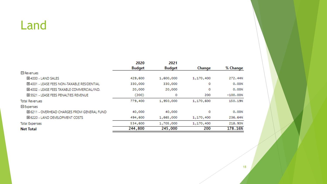#### Land

|                                               | 2020    | 2021      |           |            |
|-----------------------------------------------|---------|-----------|-----------|------------|
|                                               | Budget  | Budget    | Change    | % Change   |
| $\Box$ Revenues                               |         |           |           |            |
| 田4000 - LAND SALES                            | 429,600 | 1,600,000 | 1,170,400 | 272,44%    |
| EI 4001 - LEASE FEES NON-TAXABLE RESIDENTIAL  | 330,000 | 330,000   | 0         | 0.00%      |
| EI 4002 - LEASE FEES TAXABLE COMMERCIAL/IND.  | 20,000  | 20,000    | o         | 0.00%      |
| <b>EL 5521 - LEASE FEES PENALTIES REVENUE</b> | (200)   | 0         | 200       | $-100,00%$ |
| <b>Total Revenues</b>                         | 779,400 | 1,950,000 | 1,170,600 | 150, 19%   |
| $\boxminus$ Expenses                          |         |           |           |            |
| E 6211 - OVERHEAD CHARGES FROM GENERAL FUND   | 40,000  | 40,000    | o         | 0.00%      |
| E 6220 - LAND DEVELOPMENT COSTS               | 494,600 | 1,665,000 | 1,170,400 | 236,64%    |
| <b>Total Expenses</b>                         | 534,600 | 1,705,000 | 1,170,400 | 218.93%    |
| <b>Net Total</b>                              | 244,800 | 245,000   | 200       | 178.16%    |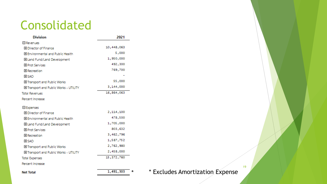#### Consolidated

| <b>Division</b>                         | 2021       |
|-----------------------------------------|------------|
| $\boxminus$ Revenues                    |            |
| 田 Director of Finance                   | 10,448,063 |
| 田 Environmental and Public Health       | 5,000      |
| 田 Land Fund/Land Development            | 1,950,000  |
| 田 Prot Services                         | 492,300    |
| El Recreation                           | 769,700    |
| 田 SAO                                   |            |
| 田 Transport and Public Works            | 55,000     |
| El Transport and Public Works - UTILITY | 3,144,000  |
| <b>Total Revenues</b>                   | 16,864,063 |
| Percent Increase                        |            |
| $\boxminus$ Expenses                    |            |
| 田 Director of Finance                   | 2,114,100  |
| 田 Environmental and Public Health       | 478,500    |
| 田 Land Fund/Land Development            | 1,705,000  |
| 田 Prot Services                         | 803,632    |
| <b>田</b> Recreation                     | 3,462,796  |
| <b>ELSAO</b>                            | 1,587,752  |
| 田 Transport and Public Works            | 2,762,980  |
| El Transport and Public Works - UTILITY | 2,458,000  |
| Total Expenses                          | 15,372,760 |
| Percent Increase                        |            |
| Jet Total                               | 1,491,303  |

\* \* Excludes Amortization Expense

**Net Total**